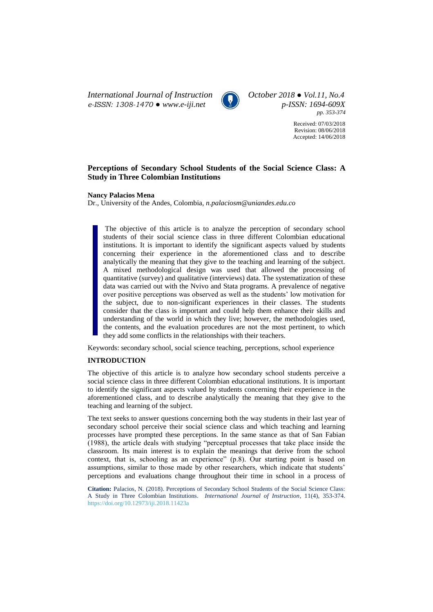*International Journal of Instruction October 2018 ● Vol.11, No.4 e-ISSN: 1308-1470 ● [www.e-iji.net](http://www.e-iji.net/) p-ISSN: 1694-609X*



*pp. 353-374*

Received: 07/03/2018 Revision: 08/06/2018 Accepted: 14/06/2018

# **Perceptions of Secondary School Students of the Social Science Class: A Study in Three Colombian Institutions**

### **Nancy Palacios Mena**

Dr., University of the Andes, Colombia, *n.palaciosm@uniandes.edu.co*

The objective of this article is to analyze the perception of secondary school students of their social science class in three different Colombian educational institutions. It is important to identify the significant aspects valued by students concerning their experience in the aforementioned class and to describe analytically the meaning that they give to the teaching and learning of the subject. A mixed methodological design was used that allowed the processing of quantitative (survey) and qualitative (interviews) data. The systematization of these data was carried out with the Nvivo and Stata programs. A prevalence of negative over positive perceptions was observed as well as the students' low motivation for the subject, due to non-significant experiences in their classes. The students consider that the class is important and could help them enhance their skills and understanding of the world in which they live; however, the methodologies used, the contents, and the evaluation procedures are not the most pertinent, to which they add some conflicts in the relationships with their teachers.

Keywords: secondary school, social science teaching, perceptions, school experience

### **INTRODUCTION**

The objective of this article is to analyze how secondary school students perceive a social science class in three different Colombian educational institutions. It is important to identify the significant aspects valued by students concerning their experience in the aforementioned class, and to describe analytically the meaning that they give to the teaching and learning of the subject.

The text seeks to answer questions concerning both the way students in their last year of secondary school perceive their social science class and which teaching and learning processes have prompted these perceptions. In the same stance as that of San Fabian (1988), the article deals with studying "perceptual processes that take place inside the classroom. Its main interest is to explain the meanings that derive from the school context, that is, schooling as an experience" (p.8). Our starting point is based on assumptions, similar to those made by other researchers, which indicate that students' perceptions and evaluations change throughout their time in school in a process of

**Citation:** Palacios, N. (2018). Perceptions of Secondary School Students of the Social Science Class: A Study in Three Colombian Institutions. *International Journal of Instruction*, 11(4), 353-374. <https://doi.org/10.12973/iji.2018.11423a>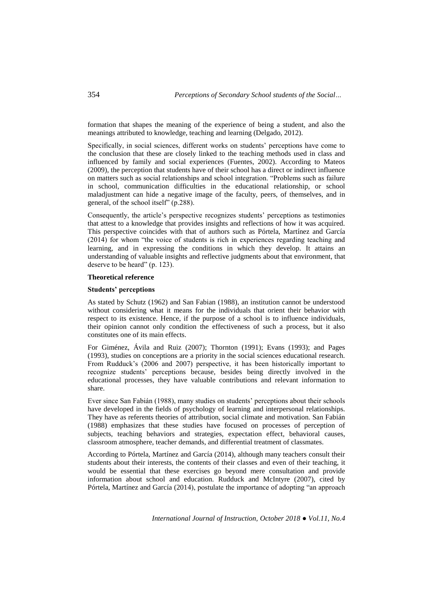formation that shapes the meaning of the experience of being a student, and also the meanings attributed to knowledge, teaching and learning (Delgado, 2012).

Specifically, in social sciences, different works on students' perceptions have come to the conclusion that these are closely linked to the teaching methods used in class and influenced by family and social experiences (Fuentes, 2002). According to Mateos (2009), the perception that students have of their school has a direct or indirect influence on matters such as social relationships and school integration. "Problems such as failure in school, communication difficulties in the educational relationship, or school maladjustment can hide a negative image of the faculty, peers, of themselves, and in general, of the school itself" (p.288).

Consequently, the article's perspective recognizes students' perceptions as testimonies that attest to a knowledge that provides insights and reflections of how it was acquired. This perspective coincides with that of authors such as Pórtela, Martínez and García (2014) for whom "the voice of students is rich in experiences regarding teaching and learning, and in expressing the conditions in which they develop. It attains an understanding of valuable insights and reflective judgments about that environment, that deserve to be heard" (p. 123).

### **Theoretical reference**

### **Students' perceptions**

As stated by Schutz (1962) and San Fabian (1988), an institution cannot be understood without considering what it means for the individuals that orient their behavior with respect to its existence. Hence, if the purpose of a school is to influence individuals, their opinion cannot only condition the effectiveness of such a process, but it also constitutes one of its main effects.

For Giménez, Ávila and Ruiz (2007); Thornton (1991); Evans (1993); and Pages (1993), studies on conceptions are a priority in the social sciences educational research. From Rudduck's (2006 and 2007) perspective, it has been historically important to recognize students' perceptions because, besides being directly involved in the educational processes, they have valuable contributions and relevant information to share.

Ever since San Fabián (1988), many studies on students' perceptions about their schools have developed in the fields of psychology of learning and interpersonal relationships. They have as referents theories of attribution, social climate and motivation. San Fabián (1988) emphasizes that these studies have focused on processes of perception of subjects, teaching behaviors and strategies, expectation effect, behavioral causes, classroom atmosphere, teacher demands, and differential treatment of classmates.

According to Pórtela, Martínez and García (2014), although many teachers consult their students about their interests, the contents of their classes and even of their teaching, it would be essential that these exercises go beyond mere consultation and provide information about school and education. Rudduck and McIntyre (2007), cited by Pórtela, Martínez and García (2014), postulate the importance of adopting "an approach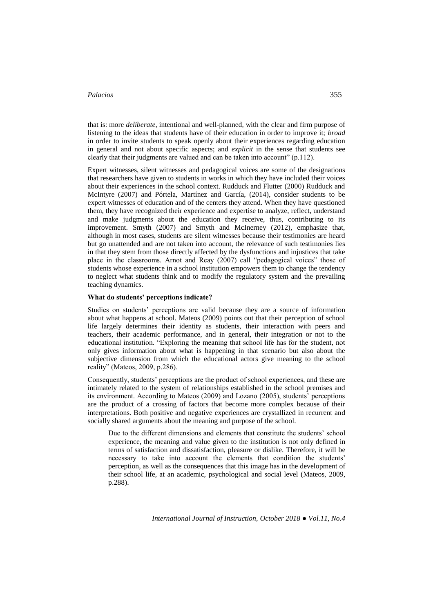that is: more *deliberate*, intentional and well-planned, with the clear and firm purpose of listening to the ideas that students have of their education in order to improve it; *broad* in order to invite students to speak openly about their experiences regarding education in general and not about specific aspects; and *explicit* in the sense that students see clearly that their judgments are valued and can be taken into account" (p.112).

Expert witnesses, silent witnesses and pedagogical voices are some of the designations that researchers have given to students in works in which they have included their voices about their experiences in the school context. Rudduck and Flutter (2000) Rudduck and McIntyre (2007) and Pórtela, Martínez and García, (2014), consider students to be expert witnesses of education and of the centers they attend. When they have questioned them, they have recognized their experience and expertise to analyze, reflect, understand and make judgments about the education they receive, thus, contributing to its improvement. Smyth (2007) and Smyth and McInerney (2012), emphasize that, although in most cases, students are silent witnesses because their testimonies are heard but go unattended and are not taken into account, the relevance of such testimonies lies in that they stem from those directly affected by the dysfunctions and injustices that take place in the classrooms. Arnot and Reay (2007) call "pedagogical voices" those of students whose experience in a school institution empowers them to change the tendency to neglect what students think and to modify the regulatory system and the prevailing teaching dynamics.

### **What do students' perceptions indicate?**

Studies on students' perceptions are valid because they are a source of information about what happens at school. Mateos (2009) points out that their perception of school life largely determines their identity as students, their interaction with peers and teachers, their academic performance, and in general, their integration or not to the educational institution. "Exploring the meaning that school life has for the student, not only gives information about what is happening in that scenario but also about the subjective dimension from which the educational actors give meaning to the school reality" (Mateos, 2009, p.286).

Consequently, students' perceptions are the product of school experiences, and these are intimately related to the system of relationships established in the school premises and its environment. According to Mateos (2009) and Lozano (2005), students' perceptions are the product of a crossing of factors that become more complex because of their interpretations. Both positive and negative experiences are crystallized in recurrent and socially shared arguments about the meaning and purpose of the school.

Due to the different dimensions and elements that constitute the students' school experience, the meaning and value given to the institution is not only defined in terms of satisfaction and dissatisfaction, pleasure or dislike. Therefore, it will be necessary to take into account the elements that condition the students' perception, as well as the consequences that this image has in the development of their school life, at an academic, psychological and social level (Mateos, 2009, p.288).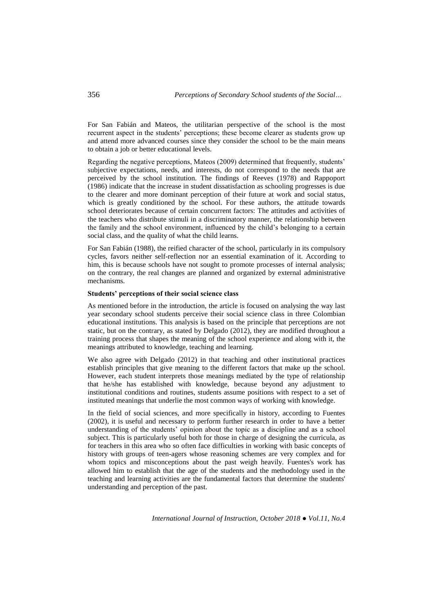For San Fabián and Mateos, the utilitarian perspective of the school is the most recurrent aspect in the students' perceptions; these become clearer as students grow up and attend more advanced courses since they consider the school to be the main means to obtain a job or better educational levels.

Regarding the negative perceptions, Mateos (2009) determined that frequently, students' subjective expectations, needs, and interests, do not correspond to the needs that are perceived by the school institution. The findings of Reeves (1978) and Rappoport (1986) indicate that the increase in student dissatisfaction as schooling progresses is due to the clearer and more dominant perception of their future at work and social status, which is greatly conditioned by the school. For these authors, the attitude towards school deteriorates because of certain concurrent factors: The attitudes and activities of the teachers who distribute stimuli in a discriminatory manner, the relationship between the family and the school environment, influenced by the child's belonging to a certain social class, and the quality of what the child learns.

For San Fabián (1988), the reified character of the school, particularly in its compulsory cycles, favors neither self-reflection nor an essential examination of it. According to him, this is because schools have not sought to promote processes of internal analysis; on the contrary, the real changes are planned and organized by external administrative mechanisms.

#### **Students' perceptions of their social science class**

As mentioned before in the introduction, the article is focused on analysing the way last year secondary school students perceive their social science class in three Colombian educational institutions. This analysis is based on the principle that perceptions are not static, but on the contrary, as stated by Delgado (2012), they are modified throughout a training process that shapes the meaning of the school experience and along with it, the meanings attributed to knowledge, teaching and learning.

We also agree with Delgado (2012) in that teaching and other institutional practices establish principles that give meaning to the different factors that make up the school. However, each student interprets those meanings mediated by the type of relationship that he/she has established with knowledge, because beyond any adjustment to institutional conditions and routines, students assume positions with respect to a set of instituted meanings that underlie the most common ways of working with knowledge.

In the field of social sciences, and more specifically in history, according to Fuentes (2002), it is useful and necessary to perform further research in order to have a better understanding of the students' opinion about the topic as a discipline and as a school subject. This is particularly useful both for those in charge of designing the curricula, as for teachers in this area who so often face difficulties in working with basic concepts of history with groups of teen-agers whose reasoning schemes are very complex and for whom topics and misconceptions about the past weigh heavily. Fuentes's work has allowed him to establish that the age of the students and the methodology used in the teaching and learning activities are the fundamental factors that determine the students' understanding and perception of the past.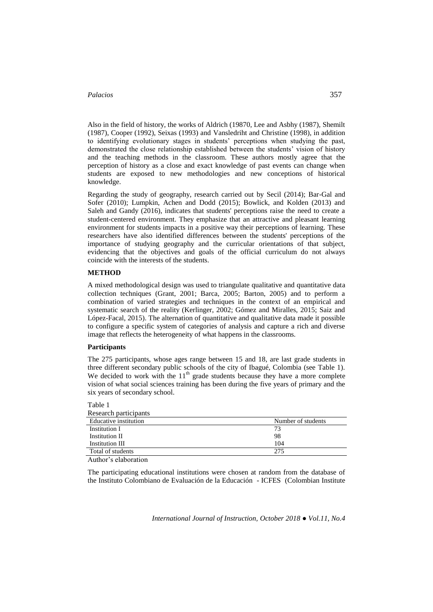Also in the field of history, the works of Aldrich (19870, Lee and Asbhy (1987), Shemilt (1987), Cooper (1992), Seixas (1993) and Vansledriht and Christine (1998), in addition to identifying evolutionary stages in students' perceptions when studying the past, demonstrated the close relationship established between the students' vision of history and the teaching methods in the classroom. These authors mostly agree that the perception of history as a close and exact knowledge of past events can change when students are exposed to new methodologies and new conceptions of historical knowledge.

Regarding the study of geography, research carried out by Secil (2014); Bar-Gal and Sofer (2010); Lumpkin, Achen and Dodd (2015); Bowlick, and Kolden (2013) and Saleh and Gandy (2016), indicates that students' perceptions raise the need to create a student-centered environment. They emphasize that an attractive and pleasant learning environment for students impacts in a positive way their perceptions of learning. These researchers have also identified differences between the students' perceptions of the importance of studying geography and the curricular orientations of that subject, evidencing that the objectives and goals of the official curriculum do not always coincide with the interests of the students.

### **METHOD**

A mixed methodological design was used to triangulate qualitative and quantitative data collection techniques (Grant, 2001; Barca, 2005; Barton, 2005) and to perform a combination of varied strategies and techniques in the context of an empirical and systematic search of the reality (Kerlinger, 2002; Gómez and Miralles, 2015; Saiz and López-Facal, 2015). The alternation of quantitative and qualitative data made it possible to configure a specific system of categories of analysis and capture a rich and diverse image that reflects the heterogeneity of what happens in the classrooms.

## **Participants**

Table 1

The 275 participants, whose ages range between 15 and 18, are last grade students in three different secondary public schools of the city of Ibagué, Colombia (see Table 1). We decided to work with the  $11<sup>th</sup>$  grade students because they have a more complete vision of what social sciences training has been during the five years of primary and the six years of secondary school.

| Number of students |
|--------------------|
| 73                 |
| 98                 |
| 104                |
| 275                |
|                    |

Author's elaboration

The participating educational institutions were chosen at random from the database of the Instituto Colombiano de Evaluación de la Educación - ICFES (Colombian Institute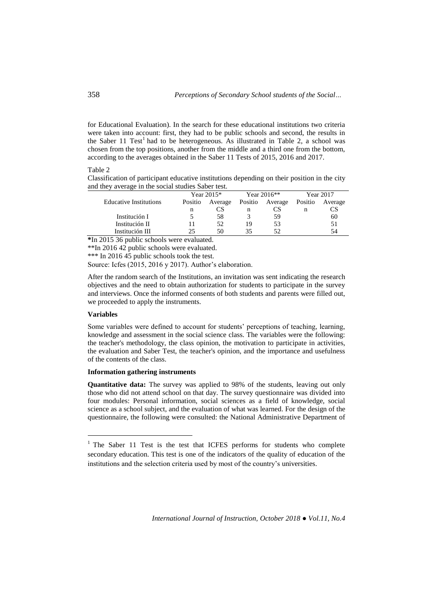for Educational Evaluation). In the search for these educational institutions two criteria were taken into account: first, they had to be public schools and second, the results in the Saber 11 Test<sup>1</sup> had to be heterogeneous. As illustrated in Table 2, a school was chosen from the top positions, another from the middle and a third one from the bottom, according to the averages obtained in the Saber 11 Tests of 2015, 2016 and 2017.

## Table 2

Classification of participant educative institutions depending on their position in the city and they average in the social studies Saber test.

|                               | Year 2015* |         | Year $2016**$ |         | Year 2017 |         |
|-------------------------------|------------|---------|---------------|---------|-----------|---------|
| <b>Educative Institutions</b> | Positio    | Average | Positio       | Average | Positio   | Average |
|                               | n          | CS      | n             | CS      | n         |         |
| Institución I                 |            | 58      |               | 59      |           | 60      |
| Institución II                |            | 52      | 19            | 53      |           |         |
| Institución III               | 25.        | 50      | 35            |         |           |         |

**\***In 2015 36 public schools were evaluated.

\*\*In 2016 42 public schools were evaluated.

\*\*\* In 2016 45 public schools took the test.

Source: Icfes (2015, 2016 y 2017). Author's elaboration.

After the random search of the Institutions, an invitation was sent indicating the research objectives and the need to obtain authorization for students to participate in the survey and interviews. Once the informed consents of both students and parents were filled out, we proceeded to apply the instruments.

## **Variables**

 $\overline{a}$ 

Some variables were defined to account for students' perceptions of teaching, learning, knowledge and assessment in the social science class. The variables were the following: the teacher's methodology, the class opinion, the motivation to participate in activities, the evaluation and Saber Test, the teacher's opinion, and the importance and usefulness of the contents of the class.

### **Information gathering instruments**

**Quantitative data:** The survey was applied to 98% of the students, leaving out only those who did not attend school on that day. The survey questionnaire was divided into four modules: Personal information, social sciences as a field of knowledge, social science as a school subject, and the evaluation of what was learned. For the design of the questionnaire, the following were consulted: the National Administrative Department of

<sup>&</sup>lt;sup>1</sup> The Saber 11 Test is the test that ICFES performs for students who complete secondary education. This test is one of the indicators of the quality of education of the institutions and the selection criteria used by most of the country's universities.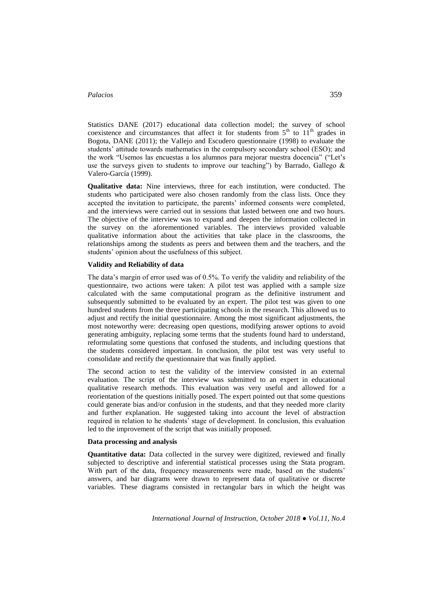Statistics DANE (2017) educational data collection model; the survey of school coexistence and circumstances that affect it for students from  $5<sup>th</sup>$  to  $11<sup>th</sup>$  grades in Bogota, DANE (2011); the Vallejo and Escudero questionnaire (1998) to evaluate the students' attitude towards mathematics in the compulsory secondary school (ESO); and the work "Usemos las encuestas a los alumnos para mejorar nuestra docencia" ("Let's use the surveys given to students to improve our teaching") by Barrado, Gallego  $\&$ Valero-García (1999).

**Qualitative data:** Nine interviews, three for each institution, were conducted. The students who participated were also chosen randomly from the class lists. Once they accepted the invitation to participate, the parents' informed consents were completed, and the interviews were carried out in sessions that lasted between one and two hours. The objective of the interview was to expand and deepen the information collected in the survey on the aforementioned variables. The interviews provided valuable qualitative information about the activities that take place in the classrooms, the relationships among the students as peers and between them and the teachers, and the students' opinion about the usefulness of this subject.

#### **Validity and Reliability of data**

The data's margin of error used was of 0.5%. To verify the validity and reliability of the questionnaire, two actions were taken: A pilot test was applied with a sample size calculated with the same computational program as the definitive instrument and subsequently submitted to be evaluated by an expert. The pilot test was given to one hundred students from the three participating schools in the research. This allowed us to adjust and rectify the initial questionnaire. Among the most significant adjustments, the most noteworthy were: decreasing open questions, modifying answer options to avoid generating ambiguity, replacing some terms that the students found hard to understand, reformulating some questions that confused the students, and including questions that the students considered important. In conclusion, the pilot test was very useful to consolidate and rectify the questionnaire that was finally applied.

The second action to test the validity of the interview consisted in an external evaluation. The script of the interview was submitted to an expert in educational qualitative research methods. This evaluation was very useful and allowed for a reorientation of the questions initially posed. The expert pointed out that some questions could generate bias and/or confusion in the students, and that they needed more clarity and further explanation. He suggested taking into account the level of abstraction required in relation to he students' stage of development. In conclusion, this evaluation led to the improvement of the script that was initially proposed.

### **Data processing and analysis**

**Quantitative data:** Data collected in the survey were digitized, reviewed and finally subjected to descriptive and inferential statistical processes using the Stata program. With part of the data, frequency measurements were made, based on the students' answers, and bar diagrams were drawn to represent data of qualitative or discrete variables. These diagrams consisted in rectangular bars in which the height was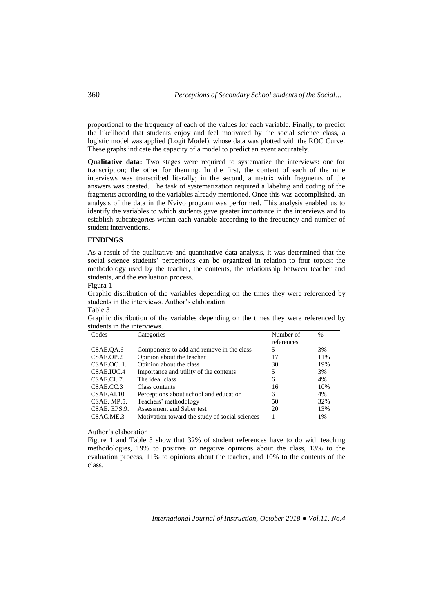proportional to the frequency of each of the values for each variable. Finally, to predict the likelihood that students enjoy and feel motivated by the social science class, a logistic model was applied (Logit Model), whose data was plotted with the ROC Curve. These graphs indicate the capacity of a model to predict an event accurately.

**Qualitative data:** Two stages were required to systematize the interviews: one for transcription; the other for theming. In the first, the content of each of the nine interviews was transcribed literally; in the second, a matrix with fragments of the answers was created. The task of systematization required a labeling and coding of the fragments according to the variables already mentioned. Once this was accomplished, an analysis of the data in the Nvivo program was performed. This analysis enabled us to identify the variables to which students gave greater importance in the interviews and to establish subcategories within each variable according to the frequency and number of student interventions.

#### **FINDINGS**

As a result of the qualitative and quantitative data analysis, it was determined that the social science students' perceptions can be organized in relation to four topics: the methodology used by the teacher, the contents, the relationship between teacher and students, and the evaluation process.

Figura 1

Graphic distribution of the variables depending on the times they were referenced by students in the interviews. Author's elaboration

| Table ? |  |
|---------|--|
|---------|--|

Graphic distribution of the variables depending on the times they were referenced by students in the interviews.

| Codes        | Categories                                     | Number of  | $\frac{0}{0}$ |
|--------------|------------------------------------------------|------------|---------------|
|              |                                                | references |               |
| CSAE.OA.6    | Components to add and remove in the class      | 5          | 3%            |
| CSAE.OP.2    | Opinion about the teacher                      | 17         | 11%           |
| CSAE.OC. 1.  | Opinion about the class                        | 30         | 19%           |
| CSAE.IUC.4   | Importance and utility of the contents         | 5          | 3%            |
| CSAE.CI. 7.  | The ideal class                                | 6          | 4%            |
| CSAE.CC.3    | Class contents                                 | 16         | 10%           |
| CSAE.AI.10   | Perceptions about school and education         | 6          | 4%            |
| CSAE. MP.5.  | Teachers' methodology                          | 50         | 32%           |
| CSAE. EPS.9. | Assessment and Saber test                      | 20         | 13%           |
| CSAC.ME.3    | Motivation toward the study of social sciences |            | 1%            |

Author's elaboration

Figure 1 and Table 3 show that 32% of student references have to do with teaching methodologies, 19% to positive or negative opinions about the class, 13% to the evaluation process, 11% to opinions about the teacher, and 10% to the contents of the class.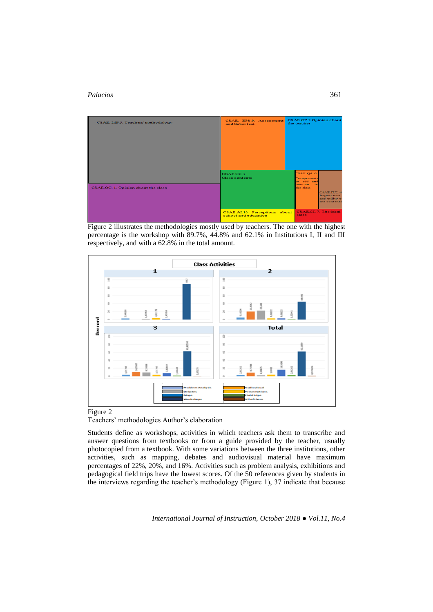

Figure 2 illustrates the methodologies mostly used by teachers. The one with the highest percentage is the workshop with 89.7%, 44.8% and 62.1% in Institutions I, II and III respectively, and with a 62.8% in the total amount.



# Figure 2



Students define as workshops, activities in which teachers ask them to transcribe and answer questions from textbooks or from a guide provided by the teacher, usually photocopied from a textbook. With some variations between the three institutions, other activities, such as mapping, debates and audiovisual material have maximum percentages of 22%, 20%, and 16%. Activities such as problem analysis, exhibitions and pedagogical field trips have the lowest scores. Of the 50 references given by students in the interviews regarding the teacher's methodology (Figure 1), 37 indicate that because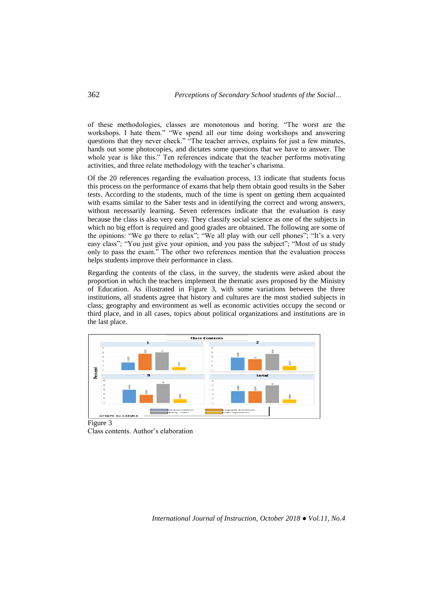of these methodologies, classes are monotonous and boring. "The worst are the workshops. I hate them." "We spend all our time doing workshops and answering questions that they never check." "The teacher arrives, explains for just a few minutes, hands out some photocopies, and dictates some questions that we have to answer. The whole year is like this." Ten references indicate that the teacher performs motivating activities, and three relate methodology with the teacher's charisma.

Of the 20 references regarding the evaluation process, 13 indicate that students focus this process on the performance of exams that help them obtain good results in the Saber tests. According to the students, much of the time is spent on getting them acquainted with exams similar to the Saber tests and in identifying the correct and wrong answers, without necessarily learning. Seven references indicate that the evaluation is easy because the class is also very easy. They classify social science as one of the subjects in which no big effort is required and good grades are obtained. The following are some of the opinions: "We go there to relax"; "We all play with our cell phones"; "It's a very easy class"; "You just give your opinion, and you pass the subject"; "Most of us study only to pass the exam." The other two references mention that the evaluation process helps students improve their performance in class.

Regarding the contents of the class, in the survey, the students were asked about the proportion in which the teachers implement the thematic axes proposed by the Ministry of Education. As illustrated in Figure 3, with some variations between the three institutions, all students agree that history and cultures are the most studied subjects in class; geography and environment as well as economic activities occupy the second or third place, and in all cases, topics about political organizations and institutions are in the last place.



Class contents. Author's elaboration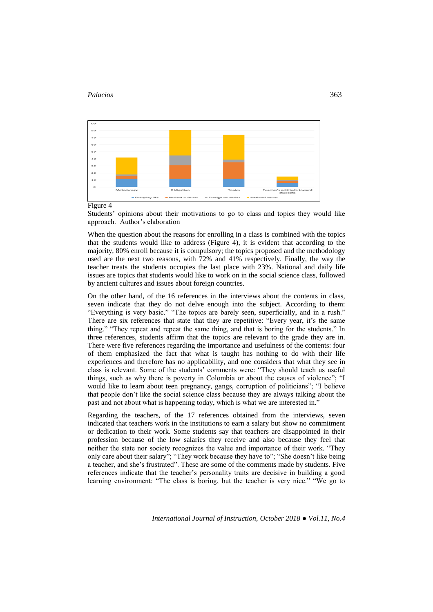



Figure 4

Students' opinions about their motivations to go to class and topics they would like approach. Author's elaboration

When the question about the reasons for enrolling in a class is combined with the topics that the students would like to address (Figure 4), it is evident that according to the majority, 80% enroll because it is compulsory; the topics proposed and the methodology used are the next two reasons, with 72% and 41% respectively. Finally, the way the teacher treats the students occupies the last place with 23%. National and daily life issues are topics that students would like to work on in the social science class, followed by ancient cultures and issues about foreign countries.

On the other hand, of the 16 references in the interviews about the contents in class, seven indicate that they do not delve enough into the subject. According to them: "Everything is very basic." "The topics are barely seen, superficially, and in a rush." There are six references that state that they are repetitive: "Every year, it's the same thing." "They repeat and repeat the same thing, and that is boring for the students." In three references, students affirm that the topics are relevant to the grade they are in. There were five references regarding the importance and usefulness of the contents: four of them emphasized the fact that what is taught has nothing to do with their life experiences and therefore has no applicability, and one considers that what they see in class is relevant. Some of the students' comments were: "They should teach us useful things, such as why there is poverty in Colombia or about the causes of violence"; "I would like to learn about teen pregnancy, gangs, corruption of politicians"; "I believe that people don't like the social science class because they are always talking about the past and not about what is happening today, which is what we are interested in."

Regarding the teachers, of the 17 references obtained from the interviews, seven indicated that teachers work in the institutions to earn a salary but show no commitment or dedication to their work. Some students say that teachers are disappointed in their profession because of the low salaries they receive and also because they feel that neither the state nor society recognizes the value and importance of their work. "They only care about their salary"; "They work because they have to"; "She doesn't like being a teacher, and she's frustrated". These are some of the comments made by students. Five references indicate that the teacher's personality traits are decisive in building a good learning environment: "The class is boring, but the teacher is very nice." "We go to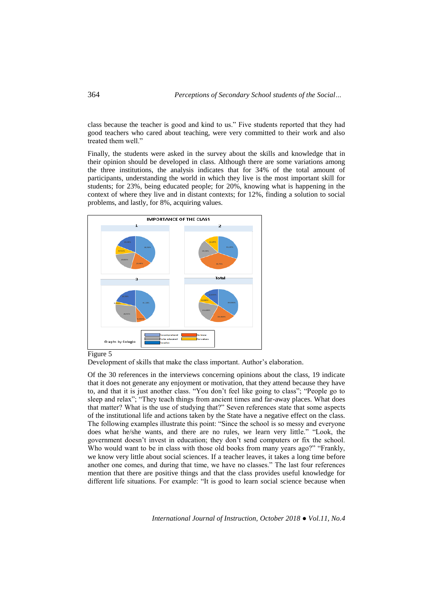class because the teacher is good and kind to us." Five students reported that they had good teachers who cared about teaching, were very committed to their work and also treated them well."

Finally, the students were asked in the survey about the skills and knowledge that in their opinion should be developed in class. Although there are some variations among the three institutions, the analysis indicates that for 34% of the total amount of participants, understanding the world in which they live is the most important skill for students; for 23%, being educated people; for 20%, knowing what is happening in the context of where they live and in distant contexts; for 12%, finding a solution to social problems, and lastly, for 8%, acquiring values.



### Figure 5

Development of skills that make the class important. Author's elaboration.

Of the 30 references in the interviews concerning opinions about the class, 19 indicate that it does not generate any enjoyment or motivation, that they attend because they have to, and that it is just another class. "You don't feel like going to class"; "People go to sleep and relax"; "They teach things from ancient times and far-away places. What does that matter? What is the use of studying that?" Seven references state that some aspects of the institutional life and actions taken by the State have a negative effect on the class. The following examples illustrate this point: "Since the school is so messy and everyone does what he/she wants, and there are no rules, we learn very little." "Look, the government doesn't invest in education; they don't send computers or fix the school. Who would want to be in class with those old books from many years ago?" "Frankly, we know very little about social sciences. If a teacher leaves, it takes a long time before another one comes, and during that time, we have no classes." The last four references mention that there are positive things and that the class provides useful knowledge for different life situations. For example: "It is good to learn social science because when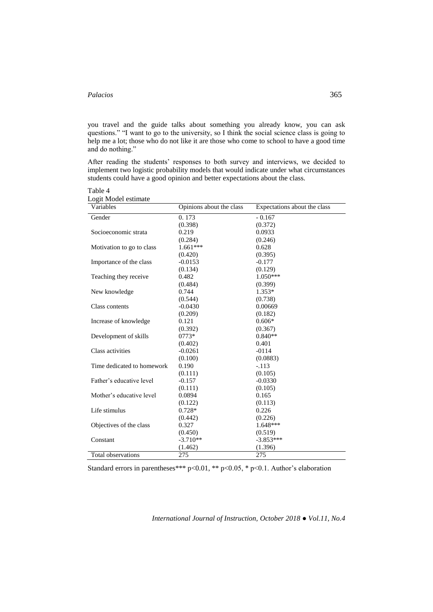you travel and the guide talks about something you already know, you can ask questions." "I want to go to the university, so I think the social science class is going to help me a lot; those who do not like it are those who come to school to have a good time and do nothing."

After reading the students' responses to both survey and interviews, we decided to implement two logistic probability models that would indicate under what circumstances students could have a good opinion and better expectations about the class.

Table 4

| Logit Model estimate |  |  |
|----------------------|--|--|
|----------------------|--|--|

| Variables                  | Opinions about the class | Expectations about the class |
|----------------------------|--------------------------|------------------------------|
| Gender                     | 0.173                    | $-0.167$                     |
|                            | (0.398)                  | (0.372)                      |
| Socioeconomic strata       | 0.219                    | 0.0933                       |
|                            | (0.284)                  | (0.246)                      |
| Motivation to go to class  | $1.661***$               | 0.628                        |
|                            | (0.420)                  | (0.395)                      |
| Importance of the class    | $-0.0153$                | $-0.177$                     |
|                            | (0.134)                  | (0.129)                      |
| Teaching they receive      | 0.482                    | $1.050***$                   |
|                            | (0.484)                  | (0.399)                      |
| New knowledge              | 0.744                    | $1.353*$                     |
|                            | (0.544)                  | (0.738)                      |
| Class contents             | $-0.0430$                | 0.00669                      |
|                            | (0.209)                  | (0.182)                      |
| Increase of knowledge      | 0.121                    | $0.606*$                     |
|                            | (0.392)                  | (0.367)                      |
| Development of skills      | $0773*$                  | $0.840**$                    |
|                            | (0.402)                  | 0.401                        |
| Class activities           | $-0.0261$                | $-0114$                      |
|                            | (0.100)                  | (0.0883)                     |
| Time dedicated to homework | 0.190                    | $-.113$                      |
|                            | (0.111)                  | (0.105)                      |
| Father's educative level   | $-0.157$                 | $-0.0330$                    |
|                            | (0.111)                  | (0.105)                      |
| Mother's educative level   | 0.0894                   | 0.165                        |
|                            | (0.122)                  | (0.113)                      |
| Life stimulus              | $0.728*$                 | 0.226                        |
|                            | (0.442)                  | (0.226)                      |
| Objectives of the class    | 0.327                    | 1.648***                     |
|                            | (0.450)                  | (0.519)                      |
| Constant                   | $-3.710**$               | $-3.853***$                  |
|                            | (1.462)                  | (1.396)                      |
| Total observations         | 275                      | 275                          |

Standard errors in parentheses\*\*\* p<0.01, \*\* p<0.05, \* p<0.1. Author's elaboration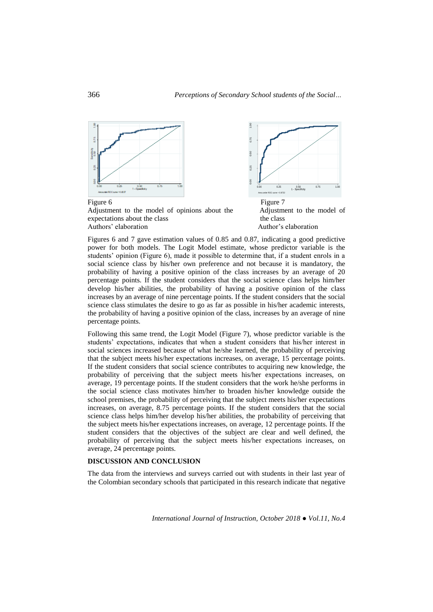

Figures 6 and 7 gave estimation values of 0.85 and 0.87, indicating a good predictive power for both models. The Logit Model estimate, whose predictor variable is the students' opinion (Figure 6), made it possible to determine that, if a student enrols in a social science class by his/her own preference and not because it is mandatory, the probability of having a positive opinion of the class increases by an average of 20 percentage points. If the student considers that the social science class helps him/her develop his/her abilities, the probability of having a positive opinion of the class increases by an average of nine percentage points. If the student considers that the social science class stimulates the desire to go as far as possible in his/her academic interests, the probability of having a positive opinion of the class, increases by an average of nine percentage points.

Following this same trend, the Logit Model (Figure 7), whose predictor variable is the students' expectations, indicates that when a student considers that his/her interest in social sciences increased because of what he/she learned, the probability of perceiving that the subject meets his/her expectations increases, on average, 15 percentage points. If the student considers that social science contributes to acquiring new knowledge, the probability of perceiving that the subject meets his/her expectations increases, on average, 19 percentage points. If the student considers that the work he/she performs in the social science class motivates him/her to broaden his/her knowledge outside the school premises, the probability of perceiving that the subject meets his/her expectations increases, on average, 8.75 percentage points. If the student considers that the social science class helps him/her develop his/her abilities, the probability of perceiving that the subject meets his/her expectations increases, on average, 12 percentage points. If the student considers that the objectives of the subject are clear and well defined, the probability of perceiving that the subject meets his/her expectations increases, on average, 24 percentage points.

## **DISCUSSION AND CONCLUSION**

The data from the interviews and surveys carried out with students in their last year of the Colombian secondary schools that participated in this research indicate that negative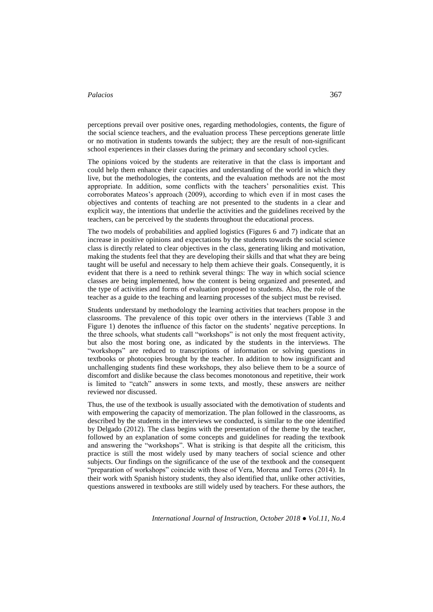perceptions prevail over positive ones, regarding methodologies, contents, the figure of the social science teachers, and the evaluation process These perceptions generate little or no motivation in students towards the subject; they are the result of non-significant school experiences in their classes during the primary and secondary school cycles.

The opinions voiced by the students are reiterative in that the class is important and could help them enhance their capacities and understanding of the world in which they live, but the methodologies, the contents, and the evaluation methods are not the most appropriate. In addition, some conflicts with the teachers' personalities exist. This corroborates Mateos's approach (2009), according to which even if in most cases the objectives and contents of teaching are not presented to the students in a clear and explicit way, the intentions that underlie the activities and the guidelines received by the teachers, can be perceived by the students throughout the educational process.

The two models of probabilities and applied logistics (Figures 6 and 7) indicate that an increase in positive opinions and expectations by the students towards the social science class is directly related to clear objectives in the class, generating liking and motivation, making the students feel that they are developing their skills and that what they are being taught will be useful and necessary to help them achieve their goals. Consequently, it is evident that there is a need to rethink several things: The way in which social science classes are being implemented, how the content is being organized and presented, and the type of activities and forms of evaluation proposed to students. Also, the role of the teacher as a guide to the teaching and learning processes of the subject must be revised.

Students understand by methodology the learning activities that teachers propose in the classrooms. The prevalence of this topic over others in the interviews (Table 3 and Figure 1) denotes the influence of this factor on the students' negative perceptions. In the three schools, what students call "workshops" is not only the most frequent activity, but also the most boring one, as indicated by the students in the interviews. The "workshops" are reduced to transcriptions of information or solving questions in textbooks or photocopies brought by the teacher. In addition to how insignificant and unchallenging students find these workshops, they also believe them to be a source of discomfort and dislike because the class becomes monotonous and repetitive, their work is limited to "catch" answers in some texts, and mostly, these answers are neither reviewed nor discussed.

Thus, the use of the textbook is usually associated with the demotivation of students and with empowering the capacity of memorization. The plan followed in the classrooms, as described by the students in the interviews we conducted, is similar to the one identified by Delgado (2012). The class begins with the presentation of the theme by the teacher, followed by an explanation of some concepts and guidelines for reading the textbook and answering the "workshops". What is striking is that despite all the criticism, this practice is still the most widely used by many teachers of social science and other subjects. Our findings on the significance of the use of the textbook and the consequent "preparation of workshops" coincide with those of Vera, Morena and Torres (2014). In their work with Spanish history students, they also identified that, unlike other activities, questions answered in textbooks are still widely used by teachers. For these authors, the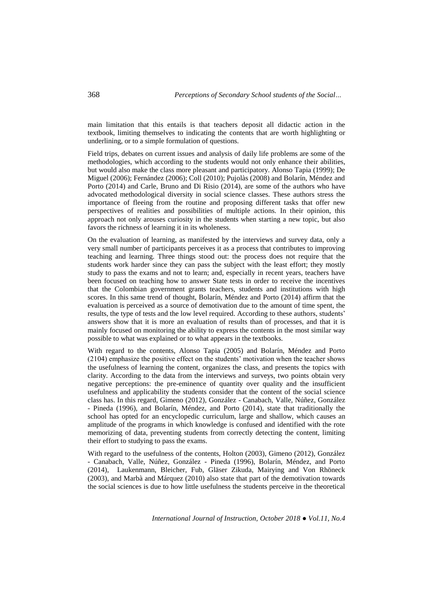main limitation that this entails is that teachers deposit all didactic action in the textbook, limiting themselves to indicating the contents that are worth highlighting or underlining, or to a simple formulation of questions.

Field trips, debates on current issues and analysis of daily life problems are some of the methodologies, which according to the students would not only enhance their abilities, but would also make the class more pleasant and participatory. Alonso Tapia (1999); De Miguel (2006); Fernández (2006); Coll (2010); Pujolàs (2008) and Bolarín, Méndez and Porto (2014) and Carle, Bruno and Di Risio (2014), are some of the authors who have advocated methodological diversity in social science classes. These authors stress the importance of fleeing from the routine and proposing different tasks that offer new perspectives of realities and possibilities of multiple actions. In their opinion, this approach not only arouses curiosity in the students when starting a new topic, but also favors the richness of learning it in its wholeness.

On the evaluation of learning, as manifested by the interviews and survey data, only a very small number of participants perceives it as a process that contributes to improving teaching and learning. Three things stood out: the process does not require that the students work harder since they can pass the subject with the least effort; they mostly study to pass the exams and not to learn; and, especially in recent years, teachers have been focused on teaching how to answer State tests in order to receive the incentives that the Colombian government grants teachers, students and institutions with high scores. In this same trend of thought, Bolarín, Méndez and Porto (2014) affirm that the evaluation is perceived as a source of demotivation due to the amount of time spent, the results, the type of tests and the low level required. According to these authors, students' answers show that it is more an evaluation of results than of processes, and that it is mainly focused on monitoring the ability to express the contents in the most similar way possible to what was explained or to what appears in the textbooks.

With regard to the contents, Alonso Tapia (2005) and Bolarín, Méndez and Porto (2104) emphasize the positive effect on the students' motivation when the teacher shows the usefulness of learning the content, organizes the class, and presents the topics with clarity. According to the data from the interviews and surveys, two points obtain very negative perceptions: the pre-eminence of quantity over quality and the insufficient usefulness and applicability the students consider that the content of the social science class has. In this regard, Gimeno (2012), González - Canabach, Valle, Núñez, González - Pineda (1996), and Bolarín, Méndez, and Porto (2014), state that traditionally the school has opted for an encyclopedic curriculum, large and shallow, which causes an amplitude of the programs in which knowledge is confused and identified with the rote memorizing of data, preventing students from correctly detecting the content, limiting their effort to studying to pass the exams.

With regard to the usefulness of the contents, Holton (2003), Gimeno (2012), González - Canabach, Valle, Núñez, González - Pineda (1996), Bolarín, Méndez, and Porto (2014), Laukenmann, Bleicher, Fub, Gläser Zikuda, Mairying and Von Rhöneck (2003), and Marbà and Márquez (2010) also state that part of the demotivation towards the social sciences is due to how little usefulness the students perceive in the theoretical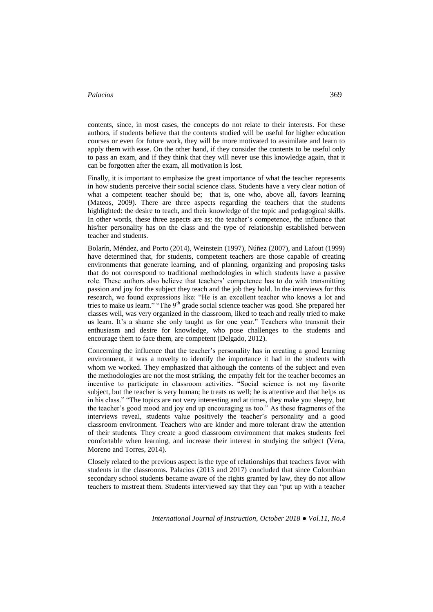contents, since, in most cases, the concepts do not relate to their interests. For these authors, if students believe that the contents studied will be useful for higher education courses or even for future work, they will be more motivated to assimilate and learn to apply them with ease. On the other hand, if they consider the contents to be useful only to pass an exam, and if they think that they will never use this knowledge again, that it can be forgotten after the exam, all motivation is lost.

Finally, it is important to emphasize the great importance of what the teacher represents in how students perceive their social science class. Students have a very clear notion of what a competent teacher should be; that is, one who, above all, favors learning (Mateos, 2009). There are three aspects regarding the teachers that the students highlighted: the desire to teach, and their knowledge of the topic and pedagogical skills. In other words, these three aspects are as; the teacher's competence, the influence that his/her personality has on the class and the type of relationship established between teacher and students.

Bolarín, Méndez, and Porto (2014), Weinstein (1997), Núñez (2007), and Lafout (1999) have determined that, for students, competent teachers are those capable of creating environments that generate learning, and of planning, organizing and proposing tasks that do not correspond to traditional methodologies in which students have a passive role. These authors also believe that teachers' competence has to do with transmitting passion and joy for the subject they teach and the job they hold. In the interviews for this research, we found expressions like: "He is an excellent teacher who knows a lot and tries to make us learn." "The 9<sup>th</sup> grade social science teacher was good. She prepared her classes well, was very organized in the classroom, liked to teach and really tried to make us learn. It's a shame she only taught us for one year." Teachers who transmit their enthusiasm and desire for knowledge, who pose challenges to the students and encourage them to face them, are competent (Delgado, 2012).

Concerning the influence that the teacher's personality has in creating a good learning environment, it was a novelty to identify the importance it had in the students with whom we worked. They emphasized that although the contents of the subject and even the methodologies are not the most striking, the empathy felt for the teacher becomes an incentive to participate in classroom activities. "Social science is not my favorite subject, but the teacher is very human; he treats us well; he is attentive and that helps us in his class." "The topics are not very interesting and at times, they make you sleepy, but the teacher's good mood and joy end up encouraging us too." As these fragments of the interviews reveal, students value positively the teacher's personality and a good classroom environment. Teachers who are kinder and more tolerant draw the attention of their students. They create a good classroom environment that makes students feel comfortable when learning, and increase their interest in studying the subject (Vera, Moreno and Torres, 2014).

Closely related to the previous aspect is the type of relationships that teachers favor with students in the classrooms. Palacios (2013 and 2017) concluded that since Colombian secondary school students became aware of the rights granted by law, they do not allow teachers to mistreat them. Students interviewed say that they can "put up with a teacher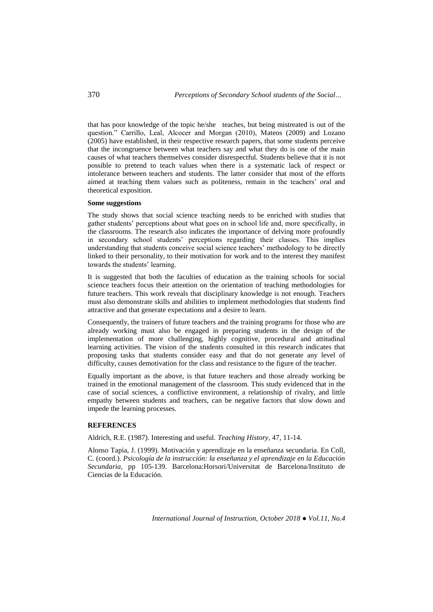that has poor knowledge of the topic he/she teaches, but being mistreated is out of the question." Carrillo, Leal, Alcocer and Morgan (2010), Mateos (2009) and Lozano (2005) have established, in their respective research papers, that some students perceive that the incongruence between what teachers say and what they do is one of the main causes of what teachers themselves consider disrespectful. Students believe that it is not possible to pretend to teach values when there is a systematic lack of respect or intolerance between teachers and students. The latter consider that most of the efforts aimed at teaching them values such as politeness, remain in the teachers' oral and theoretical exposition.

## **Some suggestions**

The study shows that social science teaching needs to be enriched with studies that gather students' perceptions about what goes on in school life and, more specifically, in the classrooms. The research also indicates the importance of delving more profoundly in secondary school students' perceptions regarding their classes. This implies understanding that students conceive social science teachers' methodology to be directly linked to their personality, to their motivation for work and to the interest they manifest towards the students' learning.

It is suggested that both the faculties of education as the training schools for social science teachers focus their attention on the orientation of teaching methodologies for future teachers. This work reveals that disciplinary knowledge is not enough. Teachers must also demonstrate skills and abilities to implement methodologies that students find attractive and that generate expectations and a desire to learn.

Consequently, the trainers of future teachers and the training programs for those who are already working must also be engaged in preparing students in the design of the implementation of more challenging, highly cognitive, procedural and attitudinal learning activities. The vision of the students consulted in this research indicates that proposing tasks that students consider easy and that do not generate any level of difficulty, causes demotivation for the class and resistance to the figure of the teacher.

Equally important as the above, is that future teachers and those already working be trained in the emotional management of the classroom. This study evidenced that in the case of social sciences, a conflictive environment, a relationship of rivalry, and little empathy between students and teachers, can be negative factors that slow down and impede the learning processes.

# **REFERENCES**

Aldrich, R.E. (1987). Interesting and useful. *Teaching History*, 47, 11-14.

Alonso Tapia, J. (1999). Motivación y aprendizaje en la enseñanza secundaria. En Coll, C. (coord.). *Psicología de la instrucción: la enseñanza y el aprendizaje en la Educación Secundaria,* pp 105-139. Barcelona:Horsori/Universitat de Barcelona/Instituto de Ciencias de la Educación.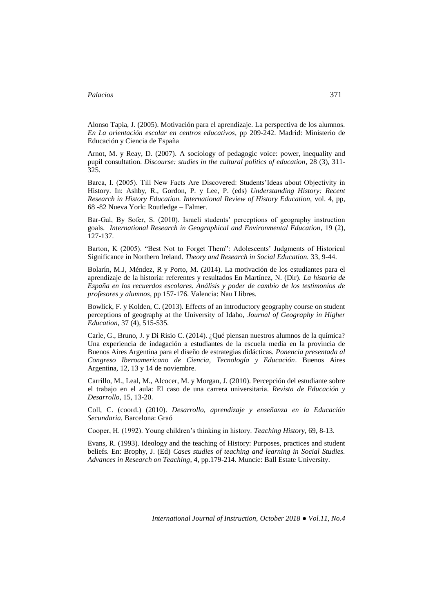Alonso Tapia, J. (2005). Motivación para el aprendizaje. La perspectiva de los alumnos. *En La orientación escolar en centros educativos*, pp 209-242. Madrid: Ministerio de Educación y Ciencia de España

Arnot, M. y Reay, D. (2007). A sociology of pedagogic voice: power, inequality and pupil consultation. *Discourse: studies in the cultural politics of education*, 28 (3), 311- 325.

Barca, I. (2005). Till New Facts Are Discovered: Students'Ideas about Objectivity in History. In: Ashby, R., Gordon, P. y Lee, P. (eds) *Understanding History: Recent Research in History Education. International Review of History Education,* vol. 4, pp, 68 -82 Nueva York: Routledge – Falmer.

Bar-Gal, By Sofer, S. (2010). Israeli students' perceptions of geography instruction goals. *International Research in Geographical and Environmental Education*, 19 (2), 127-137.

Barton, K (2005). "Best Not to Forget Them": Adolescents' Judgments of Historical Significance in Northern Ireland. *Theory and Research in Social Education.* 33, 9-44.

Bolarín, M.J, Méndez, R y Porto, M. (2014). La motivación de los estudiantes para el aprendizaje de la historia: referentes y resultados En Martínez, N. (Dir). *La historia de España en los recuerdos escolares. Análisis y poder de cambio de los testimonios de profesores y alumnos*, pp 157-176. Valencia: Nau Llibres.

Bowlick, F. y Kolden, C. (2013). Effects of an introductory geography course on student perceptions of geography at the University of Idaho, *Journal of Geography in Higher Education*, 37 (4), 515-535.

Carle, G., Bruno, J. y Di Risio C. (2014). ¿Qué piensan nuestros alumnos de la química? Una experiencia de indagación a estudiantes de la escuela media en la provincia de Buenos Aires Argentina para el diseño de estrategias didácticas. *Ponencia presentada al Congreso Iberoamericano de Ciencia, Tecnología y Educación*. Buenos Aires Argentina, 12, 13 y 14 de noviembre.

Carrillo, M., Leal, M., Alcocer, M. y Morgan, J. (2010). Percepción del estudiante sobre el trabajo en el aula: El caso de una carrera universitaria. *Revista de Educación y Desarrollo*, 15, 13-20.

Coll, C. (coord.) (2010). *Desarrollo, aprendizaje y enseñanza en la Educación Secundaria.* Barcelona: Graó

Cooper, H. (1992). Young children's thinking in history. *Teaching History*, 69, 8-13.

Evans, R. (1993). Ideology and the teaching of History: Purposes, practices and student beliefs. En: Brophy, J. (Ed) *Cases studies of teaching and learning in Social Studies. Advances in Research on Teaching*, 4, pp.179-214. Muncie: Ball Estate University.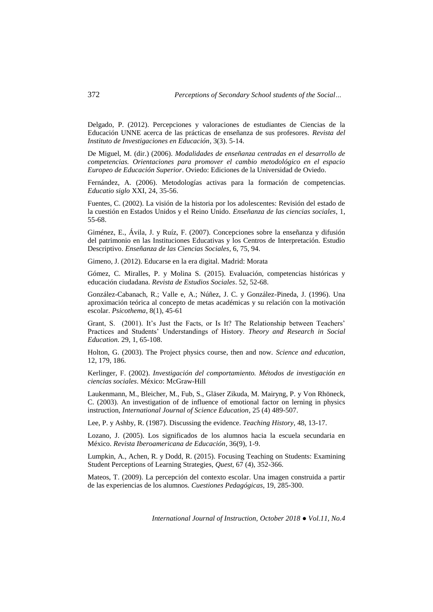Delgado, P. (2012). Percepciones y valoraciones de estudiantes de Ciencias de la Educación UNNE acerca de las prácticas de enseñanza de sus profesores. *Revista del Instituto de Investigaciones en Educación*, 3(3). 5-14.

De Miguel, M. (dir.) (2006). *Modalidades de enseñanza centradas en el desarrollo de competencias. Orientaciones para promover el cambio metodológico en el espacio Europeo de Educación Superior*. Oviedo: Ediciones de la Universidad de Oviedo.

Fernández, A. (2006). Metodologías activas para la formación de competencias. *Educatio siglo* XXI, 24, 35-56.

Fuentes, C. (2002). La visión de la historia por los adolescentes: Revisión del estado de la cuestión en Estados Unidos y el Reino Unido. *Enseñanza de las ciencias sociales*, 1, 55-68.

Giménez, E., Ávila, J. y Ruíz, F. (2007). Concepciones sobre la enseñanza y difusión del patrimonio en las Instituciones Educativas y los Centros de Interpretación. Estudio Descriptivo. *Enseñanza de las Ciencias Sociales*, 6, 75, 94.

Gimeno, J. (2012). Educarse en la era digital. Madrid: Morata

Gómez, C. Miralles, P. y Molina S. (2015). Evaluación, competencias históricas y educación ciudadana*. Revista de Estudios Sociales*. 52, 52-68.

González-Cabanach, R.; Valle e, A.; Núñez, J. C. y González-Pineda, J. (1996). Una aproximación teórica al concepto de metas académicas y su relación con la motivación escolar. *Psicothema*, 8(1), 45-61

Grant, S. (2001). It's Just the Facts, or Is It? The Relationship between Teachers' Practices and Students' Understandings of History. *Theory and Research in Social Education.* 29, 1, 65-108.

Holton, G. (2003). The Project physics course, then and now. *Science and education*, 12, 179, 186.

Kerlinger, F. (2002). *Investigación del comportamiento. Métodos de investigación en ciencias sociales*. México: McGraw-Hill

Laukenmann, M., Bleicher, M., Fub, S., Gläser Zikuda, M. Mairyng, P. y Von Rhöneck, C. (2003). An investigation of de influence of emotional factor on lerning in physics instruction, *International Journal of Science Education*, 25 (4) 489-507.

Lee, P. y Ashby, R. (1987). Discussing the evidence. *Teaching History*, 48, 13-17.

Lozano, J. (2005). Los significados de los alumnos hacia la escuela secundaria en México. *Revista Iberoamericana de Educación*, 36(9), 1-9.

Lumpkin, A., Achen, R. y Dodd, R. (2015). Focusing Teaching on Students: Examining Student Perceptions of Learning Strategies, *Quest*, 67 (4), 352-366.

Mateos, T. (2009). La percepción del contexto escolar. Una imagen construida a partir de las experiencias de los alumnos. *Cuestiones Pedagógicas*, 19, 285-300.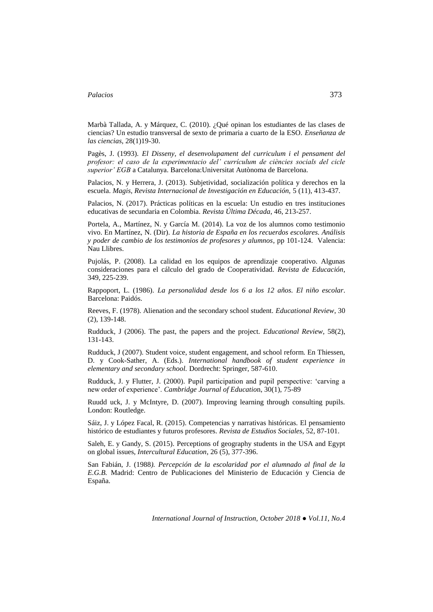Marbà Tallada, A. y Márquez, C. (2010). ¿Qué opinan los estudiantes de las clases de ciencias? Un estudio transversal de sexto de primaria a cuarto de la ESO. *Enseñanza de las ciencias*, 28(1)19-30.

Pagès, J. (1993). *El Disseny, el desenvolupament del curriculum i el pensament del profesor: el caso de la experimentacio del' currículum de ciències socials del cicle superior' EGB* a Catalunya. Barcelona:Universitat Autònoma de Barcelona.

Palacios, N. y Herrera, J. (2013). Subjetividad, socialización política y derechos en la escuela. *Magis, Revista Internacional de Investigación en Educación,* 5 (11), 413-437.

Palacios, N. (2017). Prácticas políticas en la escuela: Un estudio en tres instituciones educativas de secundaria en Colombia. *Revista Última Década*, 46, 213-257.

Portela, A., Martínez, N. y García M. (2014). La voz de los alumnos como testimonio vivo. En Martínez, N. (Dir). *La historia de España en los recuerdos escolares. Análisis y poder de cambio de los testimonios de profesores y alumnos*, pp 101-124. Valencia: Nau Llibres.

Pujolás, P. (2008). La calidad en los equipos de aprendizaje cooperativo. Algunas consideraciones para el cálculo del grado de Cooperatividad. *Revista de Educación*, 349, 225-239.

Rappoport, L. (1986). *La personalidad desde los 6 a los 12 años. El niño escolar*. Barcelona: Paidós.

Reeves, F. (1978). Alienation and the secondary school student. *Educational Review*, 30 (2), 139-148.

Rudduck, J (2006). The past, the papers and the project. *Educational Review*, 58(2), 131-143.

Rudduck, J (2007). Student voice, student engagement, and school reform. En Thiessen, D. y Cook-Sather, A. (Eds.). *International handbook of student experience in elementary and secondary school.* Dordrecht: Springer, 587-610.

Rudduck, J. y Flutter, J. (2000). Pupil participation and pupil perspective: 'carving a new order of experience'. *Cambridge Journal of Educatio*n, 30(1), 75-89

Ruudd uck, J. y McIntyre, D. (2007). Improving learning through consulting pupils. London: Routledge.

Sáiz, J. y López Facal, R. (2015). Competencias y narrativas históricas. El pensamiento histórico de estudiantes y futuros profesores. *Revista de Estudios Sociales*, 52, 87-101.

Saleh, E. y Gandy, S. (2015). Perceptions of geography students in the USA and Egypt on global issues, *Intercultural Education*, 26 (5), 377-396.

San Fabián, J. (1988*). Percepción de la escolaridad por el alumnado al final de la E.G.B.* Madrid: Centro de Publicaciones del Ministerio de Educación y Ciencia de España.